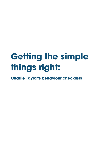# **Getting the simple things right:**

**Charlie Taylor's behaviour checklists**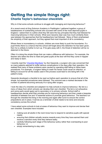### **Getting the simple things right: Charlie Taylor's behaviour checklists**

Why is it that some schools continue to struggle with managing and improving behaviour?

At a recent event at King Solomon Academy in Paddington I gathered together a group of headteachers of outstanding schools who succeed with some of the most deprived pupils in England. I asked them to outline what they felt were the key principles that they had followed for improving behaviour in their schools. What soon became clear was how much similarity there was between the approaches that the headteachers had followed. Many of them emphasised the simplicity of their approach, but they agreed that most important of all is consistency.

Where there is inconsistency in schools, children are more likely to push the boundaries. If a pupil thinks there is a chance that the school will forget about the detention he has been given, then he is unlikely to bother to turn up. If he gets away with it, the threat of detention will be no deterrent in the future.

Often it is doing the simple things that can make a difference with behaviour. For example, the teacher who takes the time to meet and greet pupils at the door will find they come in happier and ready to learn.

I recently read the 'Checklist [Manifesto](http://gawande.com/the-checklist-manifesto)' by Atul Gawande, a surgeon who was concerned that so many patients seemed to suffer serious complications in the days after their operation. He realised that many of these problems were caused by operating staff failing to follow basic procedures. For example, a surgeon failing to wash his hands could cause an infection, or failing to account for all the swabs used in the process could lead to one being left in the patient's body.

Gawande developed a checklist to be read out before each operation to ensure that all of the simple, but essential procedures were followed. The outcome was a marked decrease in the number of patients becoming seriously ill or dying after surgery.

I took the idea of a checklist and adapted it to help schools to improve behaviour. My list is a menu of ideas from which schools can develop their own checklist. The list is not exhaustive and some parts would apply just to secondary or to primary schools. School staff or headteachers decide what their priorities are for improving behaviour and then create a bespoke checklist of between five and 10 essential actions to promote good behaviour. The teachers run through the checklist first thing in the morning and again after lunch to ensure the correct preparations are in place. It serves as a reminder of what needs to be done and ensures consistency across the school.

I have asked some schools to look at areas of behaviour they want to improve and devise their own checklist. Examples have included:

- making sure all adults in the room know how to respond to sensitive pupils with special  $\bullet$ needs;
- ensuring that children actually receive rewards every time they have earned them and receive a sanction every time they behave badly;
- carefully following each stage of the behaviour policy rather than overreacting to poor behaviour; or
- simply remembering to stay calm.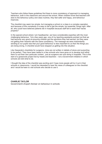Teachers who follow these guidelines find there is more consistency of approach to managing behaviour, both in the classroom and around the school. When children know that teachers will stick to the behaviour policy and class routines, they feel safer and happy, and behaviour improves.

The checklist may seem too simple, but managing a school or a class is a complex operation and because of this complexity it is easy to fail to get the simple, but essential, things right. After all, who could have believed patients die in hospitals because staff fail to wash their hands properly?

In the special school where I am headteacher, we have considerable expertise with the most challenging behaviour. Yet a few years ago, one of my teaching assistants pointed out that we had become very good at ensuring children got the sanctions they had earned, but they were not getting their rewards with the same consistency. The message we were inadvertently sending to our pupils was that your good behaviour is less important to us than the things you are doing wrong. A checklist would have stopped us getting into this situation.

Like Gawande's checklists for surgeons, mine are not written in tablets of stone and purporting to be perfect. They have been tested in a few schools who have gone on to develop and refine them to suit their own particular context , just as surgeons are now doing in hospitals. This is the start of a grassroots project led by heads and teachers – not a Government initiative in which schools are told what to do.

I thought the idea of the checklist was exciting and I hope more people will try it out in their schools or classrooms. I would be interested to hear the views of colleagues on the checklist and I would be keen to visit schools who decide to use it.

**CHARLIE TAYLOR**  Government's Expert Adviser on behaviour in schools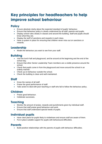## **Key principles for headteachers to help improve school behaviour**

#### **Policy**

- Ensure absolute clarity about the expected standard of pupils' behaviour.
- Ensure that behaviour policy is clearly understood by all staff, parents and pupils.
- Display school rules clearly in classes and around the building. Staff and pupils should know what they are.
- Display the tariff of sanctions and rewards in each class.
- Have a system in place for ensuring that children never miss out on sanctions or rewards.

#### **Leadership**

• Model the behaviour you want to see from your staff.

#### **Building**

- Visit the lunch hall and playground, and be around at the beginning and the end of the school day.
- Ensure that other Senior Leadership Team members are a visible presence around the school.
- Check that pupils come in from the playground and move around the school in an orderly manner.
- Check up on behaviour outside the school.
- Check the building is clean and well-maintained.

#### **Staff**

- $\bullet$  Know the names of all staff.
- Praise the good performance of staff.
- Take action to deal with poor teaching or staff who fail to follow the behaviour policy.

#### **Children**

- Praise good behaviour.
- Celebrate successes.

#### **Teaching**

- Monitor the amount of praise, rewards and punishments given by individual staff.
- Ensure that staff praise good behaviour and work.
- Ensure that staff understand special needs of pupils.

#### **Individual pupils**

- Have clear plans for pupils likely to misbehave and ensure staff are aware of them.
- Put in place suitable support for pupils with behavioural difficulties.

#### **Parents**

Build positive relationships with the parents of pupils with behaviour difficulties.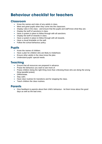## **Behaviour checklist for teachers**

#### **Classroom**

- Know the names and roles of any adults in class.
- Meet and greet pupils when they come into the classroom.
- Display rules in the class and ensure that the pupils and staff know what they are.
- Display the tariff of sanctions in class.
- Have a system in place to follow through with all sanctions.
- Display the tariff of rewards in class.
- Have a system in place to follow through with all rewards.
- Have a visual timetable on the wall.
- Follow the school behaviour policy.

#### **Pupils**

- Know the names of children
- Have a plan for children who are likely to misbehave.
- Ensure other adults in the class know the plan.
- Understand pupils' special needs.

#### **Teaching**

- Ensure that all resources are prepared in advance.
- Praise the behaviour you want to see more of.
- Praise children doing the right thing more than criticising those who are doing the wrong thing (parallel praise).
- Differentiate.
- Stay calm.
- Have clear routines for transitions and for stopping the class.
- Teach children the class routines.

#### **Parents**

 Give feedback to parents about their child's behaviour - let them know about the good days as well as the bad ones.